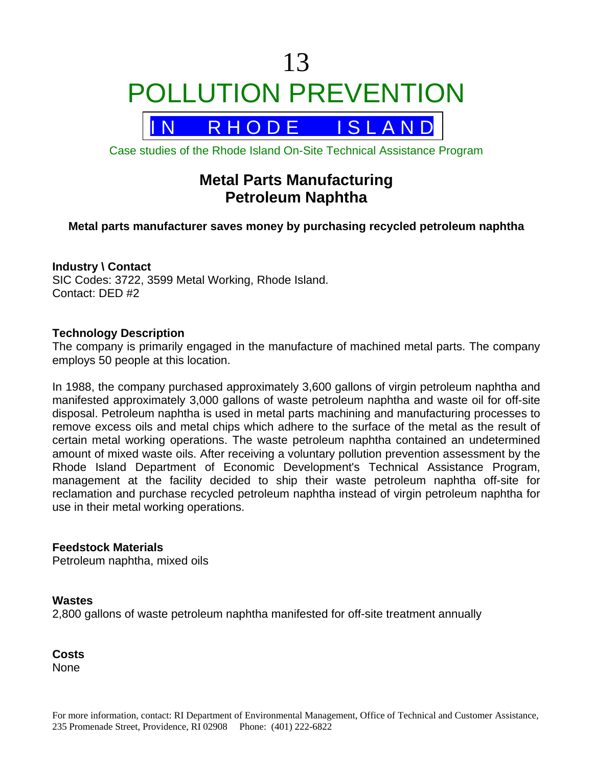

R H O D E I S L A N D

Case studies of the Rhode Island On-Site Technical Assistance Program

# **Metal Parts Manufacturing Petroleum Naphtha**

## **Metal parts manufacturer saves money by purchasing recycled petroleum naphtha**

#### **Industry \ Contact**

SIC Codes: 3722, 3599 Metal Working, Rhode Island. Contact: DED #2

#### **Technology Description**

The company is primarily engaged in the manufacture of machined metal parts. The company employs 50 people at this location.

In 1988, the company purchased approximately 3,600 gallons of virgin petroleum naphtha and manifested approximately 3,000 gallons of waste petroleum naphtha and waste oil for off-site disposal. Petroleum naphtha is used in metal parts machining and manufacturing processes to remove excess oils and metal chips which adhere to the surface of the metal as the result of certain metal working operations. The waste petroleum naphtha contained an undetermined amount of mixed waste oils. After receiving a voluntary pollution prevention assessment by the Rhode Island Department of Economic Development's Technical Assistance Program, management at the facility decided to ship their waste petroleum naphtha off-site for reclamation and purchase recycled petroleum naphtha instead of virgin petroleum naphtha for use in their metal working operations.

#### **Feedstock Materials**

Petroleum naphtha, mixed oils

#### **Wastes**

2,800 gallons of waste petroleum naphtha manifested for off-site treatment annually

**Costs None**